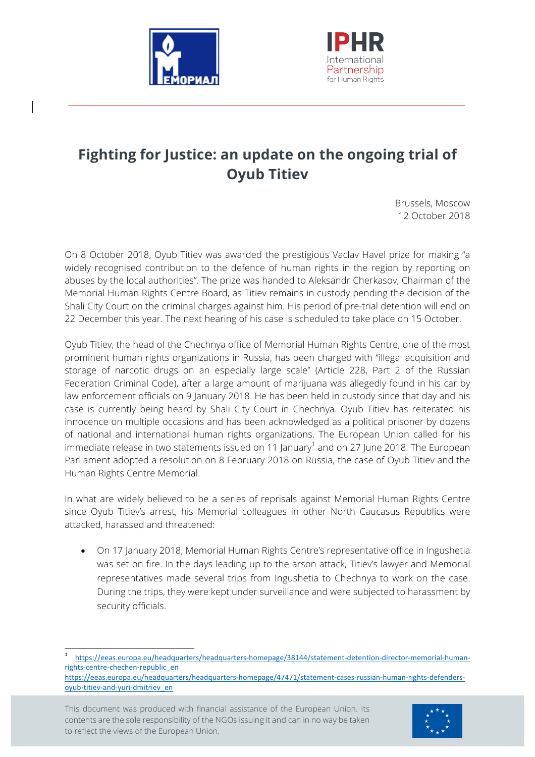



## **Fighting for Justice: an update on the ongoing trial of Oyub Titiev**

Brussels, Moscow 12 October 2018

On 8 October 2018, Oyub Titiev was awarded the prestigious Vaclav Havel prize for making "a widely recognised contribution to the defence of human rights in the region by reporting on abuses by the local authorities". The prize was handed to Aleksandr Cherkasov, Chairman of the Memorial Human Rights Centre Board, as Titiev remains in custody pending the decision of the Shali City Court on the criminal charges against him. His period of pre-trial detention will end on 22 December this year. The next hearing of his case is scheduled to take place on 15 October.

Oyub Titiev, the head of the Chechnya office of Memorial Human Rights Centre, one of the most prominent human rights organizations in Russia, has been charged with "illegal acquisition and storage of narcotic drugs on an especially large scale" (Article 228, Part 2 of the Russian Federation Criminal Code), after a large amount of marijuana was allegedly found in his car by law enforcement officials on 9 January 2018. He has been held in custody since that day and his case is currently being heard by Shali City Court in Chechnya. Oyub Titiev has reiterated his innocence on multiple occasions and has been acknowledged as a political prisoner by dozens of national and international human rights organizations. The European Union called for his immediate release in two statements issued on 11 January<sup>1</sup> and on 27 June 2018. The European Parliament adopted a resolution on 8 February 2018 on Russia, the case of Oyub Titiev and the Human Rights Centre Memorial.

In what are widely believed to be a series of reprisals against Memorial Human Rights Centre since Oyub Titiev's arrest, his Memorial colleagues in other North Caucasus Republics were attacked, harassed and threatened:

• On 17 January 2018, Memorial Human Rights Centre's representative office in Ingushetia was set on fire. In the days leading up to the arson attack, Titiev's lawyer and Memorial representatives made several trips from Ingushetia to Chechnya to work on the case. During the trips, they were kept under surveillance and were subjected to harassment by security officials.

This document was produced with financial assistance of the European Union. Its contents are the sole responsibility of the NGOs issuing it and can in no way be taken to reflect the views of the European Union.



 <sup>1</sup> https://eeas.europa.eu/headquarters/headquarters-homepage/38144/statement-detention-director-memorial-humanrights-centre-chechen-republic\_en

https://eeas.europa.eu/headquarters/headquarters-homepage/47471/statement-cases-russian-human-rights-defendersoyub-titiev-and-yuri-dmitriev\_en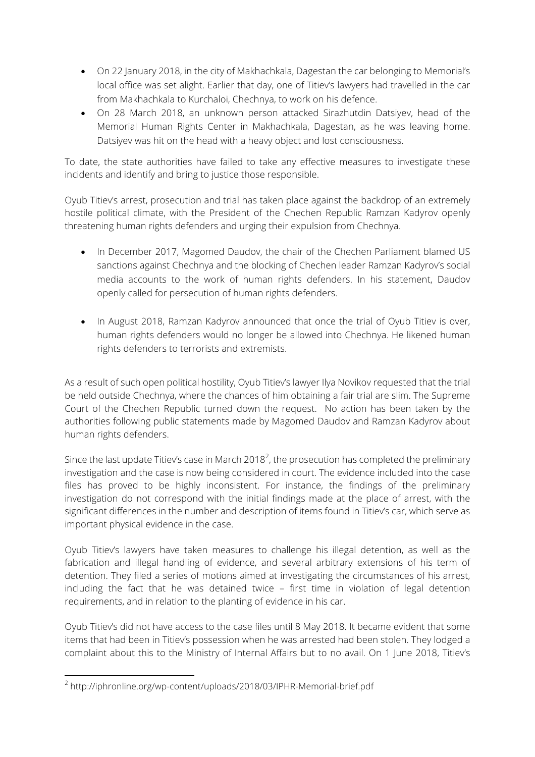- On 22 January 2018, in the city of Makhachkala, Dagestan the car belonging to Memorial's local office was set alight. Earlier that day, one of Titiev's lawyers had travelled in the car from Makhachkala to Kurchaloi, Chechnya, to work on his defence.
- On 28 March 2018, an unknown person attacked Sirazhutdin Datsiyev, head of the Memorial Human Rights Center in Makhachkala, Dagestan, as he was leaving home. Datsiyev was hit on the head with a heavy object and lost consciousness.

To date, the state authorities have failed to take any effective measures to investigate these incidents and identify and bring to justice those responsible.

Oyub Titiev's arrest, prosecution and trial has taken place against the backdrop of an extremely hostile political climate, with the President of the Chechen Republic Ramzan Kadyrov openly threatening human rights defenders and urging their expulsion from Chechnya.

- In December 2017, Magomed Daudoy, the chair of the Chechen Parliament blamed US sanctions against Chechnya and the blocking of Chechen leader Ramzan Kadyrov's social media accounts to the work of human rights defenders. In his statement, Daudov openly called for persecution of human rights defenders.
- In August 2018, Ramzan Kadyrov announced that once the trial of Oyub Titiev is over, human rights defenders would no longer be allowed into Chechnya. He likened human rights defenders to terrorists and extremists.

As a result of such open political hostility, Oyub Titiev's lawyer Ilya Novikov requested that the trial be held outside Chechnya, where the chances of him obtaining a fair trial are slim. The Supreme Court of the Chechen Republic turned down the request. No action has been taken by the authorities following public statements made by Magomed Daudov and Ramzan Kadyrov about human rights defenders.

Since the last update Titiev's case in March 2018<sup>2</sup>, the prosecution has completed the preliminary investigation and the case is now being considered in court. The evidence included into the case files has proved to be highly inconsistent. For instance, the findings of the preliminary investigation do not correspond with the initial findings made at the place of arrest, with the significant differences in the number and description of items found in Titiev's car, which serve as important physical evidence in the case.

Oyub Titiev's lawyers have taken measures to challenge his illegal detention, as well as the fabrication and illegal handling of evidence, and several arbitrary extensions of his term of detention. They filed a series of motions aimed at investigating the circumstances of his arrest, including the fact that he was detained twice – first time in violation of legal detention requirements, and in relation to the planting of evidence in his car.

Oyub Titiev's did not have access to the case files until 8 May 2018. It became evident that some items that had been in Titiev's possession when he was arrested had been stolen. They lodged a complaint about this to the Ministry of Internal Affairs but to no avail. On 1 June 2018, Titiev's

<u> 1989 - Johann Stein, marwolaethau a bh</u>

<sup>2</sup> http://iphronline.org/wp-content/uploads/2018/03/IPHR-Memorial-brief.pdf